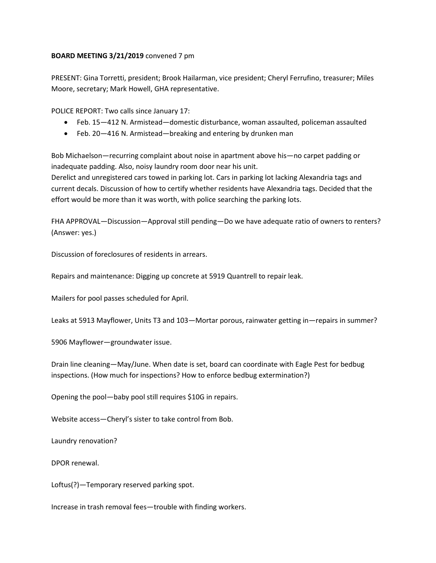## **BOARD MEETING 3/21/2019** convened 7 pm

PRESENT: Gina Torretti, president; Brook Hailarman, vice president; Cheryl Ferrufino, treasurer; Miles Moore, secretary; Mark Howell, GHA representative.

POLICE REPORT: Two calls since January 17:

- Feb. 15—412 N. Armistead—domestic disturbance, woman assaulted, policeman assaulted
- Feb. 20—416 N. Armistead—breaking and entering by drunken man

Bob Michaelson—recurring complaint about noise in apartment above his—no carpet padding or inadequate padding. Also, noisy laundry room door near his unit.

Derelict and unregistered cars towed in parking lot. Cars in parking lot lacking Alexandria tags and current decals. Discussion of how to certify whether residents have Alexandria tags. Decided that the effort would be more than it was worth, with police searching the parking lots.

FHA APPROVAL—Discussion—Approval still pending—Do we have adequate ratio of owners to renters? (Answer: yes.)

Discussion of foreclosures of residents in arrears.

Repairs and maintenance: Digging up concrete at 5919 Quantrell to repair leak.

Mailers for pool passes scheduled for April.

Leaks at 5913 Mayflower, Units T3 and 103—Mortar porous, rainwater getting in—repairs in summer?

5906 Mayflower—groundwater issue.

Drain line cleaning—May/June. When date is set, board can coordinate with Eagle Pest for bedbug inspections. (How much for inspections? How to enforce bedbug extermination?)

Opening the pool—baby pool still requires \$10G in repairs.

Website access—Cheryl's sister to take control from Bob.

Laundry renovation?

DPOR renewal.

Loftus(?)—Temporary reserved parking spot.

Increase in trash removal fees—trouble with finding workers.